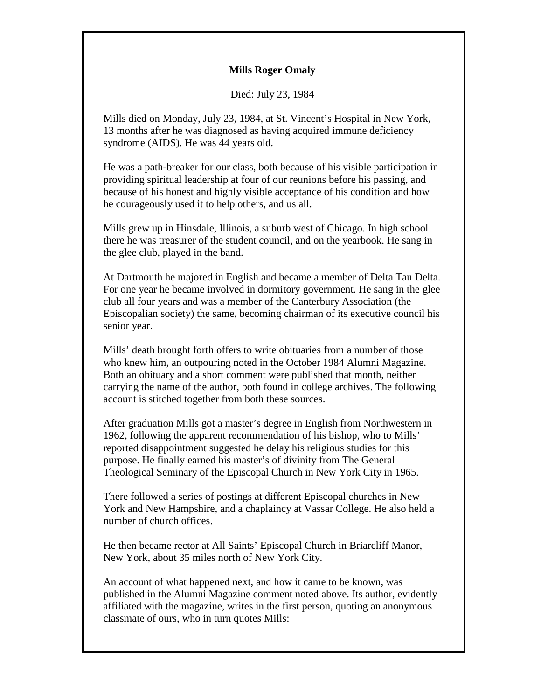## **Mills Roger Omaly**

Died: July 23, 1984

Mills died on Monday, July 23, 1984, at St. Vincent's Hospital in New York, 13 months after he was diagnosed as having acquired immune deficiency syndrome (AIDS). He was 44 years old.

He was a path-breaker for our class, both because of his visible participation in providing spiritual leadership at four of our reunions before his passing, and because of his honest and highly visible acceptance of his condition and how he courageously used it to help others, and us all.

Mills grew up in Hinsdale, Illinois, a suburb west of Chicago. In high school there he was treasurer of the student council, and on the yearbook. He sang in the glee club, played in the band.

At Dartmouth he majored in English and became a member of Delta Tau Delta. For one year he became involved in dormitory government. He sang in the glee club all four years and was a member of the Canterbury Association (the Episcopalian society) the same, becoming chairman of its executive council his senior year.

Mills' death brought forth offers to write obituaries from a number of those who knew him, an outpouring noted in the October 1984 Alumni Magazine. Both an obituary and a short comment were published that month, neither carrying the name of the author, both found in college archives. The following account is stitched together from both these sources.

After graduation Mills got a master's degree in English from Northwestern in 1962, following the apparent recommendation of his bishop, who to Mills' reported disappointment suggested he delay his religious studies for this purpose. He finally earned his master's of divinity from The General Theological Seminary of the Episcopal Church in New York City in 1965.

There followed a series of postings at different Episcopal churches in New York and New Hampshire, and a chaplaincy at Vassar College. He also held a number of church offices.

He then became rector at All Saints' Episcopal Church in Briarcliff Manor, New York, about 35 miles north of New York City.

An account of what happened next, and how it came to be known, was published in the Alumni Magazine comment noted above. Its author, evidently affiliated with the magazine, writes in the first person, quoting an anonymous classmate of ours, who in turn quotes Mills: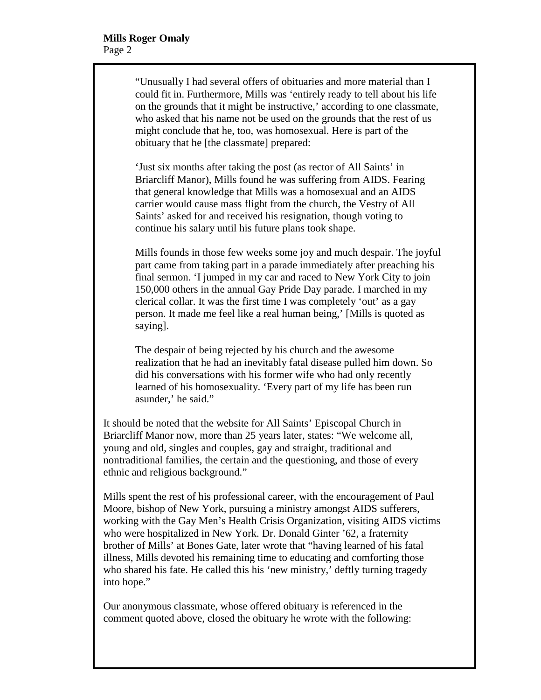"Unusually I had several offers of obituaries and more material than I could fit in. Furthermore, Mills was 'entirely ready to tell about his life on the grounds that it might be instructive,' according to one classmate, who asked that his name not be used on the grounds that the rest of us might conclude that he, too, was homosexual. Here is part of the obituary that he [the classmate] prepared:

'Just six months after taking the post (as rector of All Saints' in Briarcliff Manor), Mills found he was suffering from AIDS. Fearing that general knowledge that Mills was a homosexual and an AIDS carrier would cause mass flight from the church, the Vestry of All Saints' asked for and received his resignation, though voting to continue his salary until his future plans took shape.

Mills founds in those few weeks some joy and much despair. The joyful part came from taking part in a parade immediately after preaching his final sermon. 'I jumped in my car and raced to New York City to join 150,000 others in the annual Gay Pride Day parade. I marched in my clerical collar. It was the first time I was completely 'out' as a gay person. It made me feel like a real human being,' [Mills is quoted as saying].

The despair of being rejected by his church and the awesome realization that he had an inevitably fatal disease pulled him down. So did his conversations with his former wife who had only recently learned of his homosexuality. 'Every part of my life has been run asunder,' he said."

It should be noted that the website for All Saints' Episcopal Church in Briarcliff Manor now, more than 25 years later, states: "We welcome all, young and old, singles and couples, gay and straight, traditional and nontraditional families, the certain and the questioning, and those of every ethnic and religious background."

Mills spent the rest of his professional career, with the encouragement of Paul Moore, bishop of New York, pursuing a ministry amongst AIDS sufferers, working with the Gay Men's Health Crisis Organization, visiting AIDS victims who were hospitalized in New York. Dr. Donald Ginter '62, a fraternity brother of Mills' at Bones Gate, later wrote that "having learned of his fatal illness, Mills devoted his remaining time to educating and comforting those who shared his fate. He called this his 'new ministry,' deftly turning tragedy into hope."

Our anonymous classmate, whose offered obituary is referenced in the comment quoted above, closed the obituary he wrote with the following: